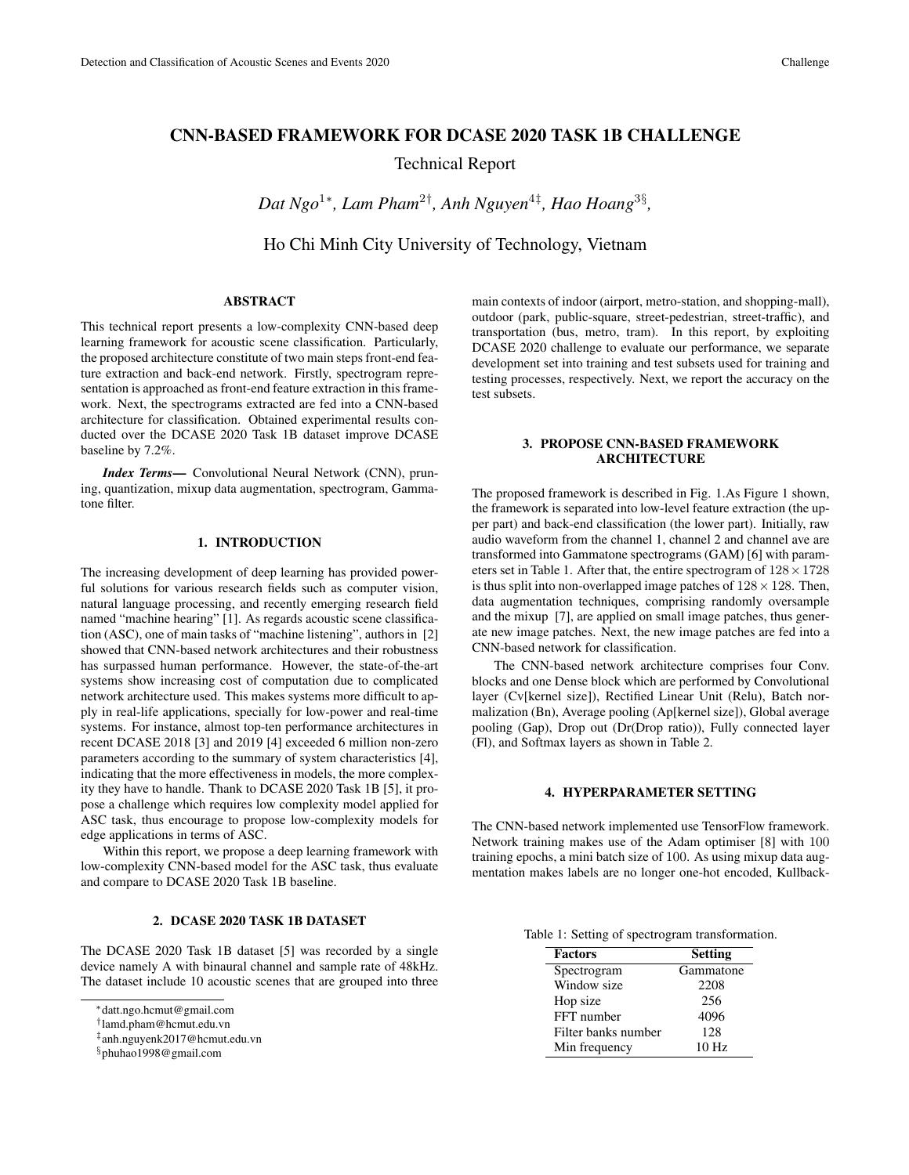# CNN-BASED FRAMEWORK FOR DCASE 2020 TASK 1B CHALLENGE

Technical Report

*Dat Ngo*<sup>1</sup><sup>∗</sup> *, Lam Pham*<sup>2</sup>† *, Anh Nguyen*<sup>4</sup>‡ *, Hao Hoang*<sup>3</sup>§ *,*

Ho Chi Minh City University of Technology, Vietnam

# ABSTRACT

This technical report presents a low-complexity CNN-based deep learning framework for acoustic scene classification. Particularly, the proposed architecture constitute of two main steps front-end feature extraction and back-end network. Firstly, spectrogram representation is approached as front-end feature extraction in this framework. Next, the spectrograms extracted are fed into a CNN-based architecture for classification. Obtained experimental results conducted over the DCASE 2020 Task 1B dataset improve DCASE baseline by 7.2%.

*Index Terms*— Convolutional Neural Network (CNN), pruning, quantization, mixup data augmentation, spectrogram, Gammatone filter.

# 1. INTRODUCTION

The increasing development of deep learning has provided powerful solutions for various research fields such as computer vision, natural language processing, and recently emerging research field named "machine hearing" [1]. As regards acoustic scene classification (ASC), one of main tasks of "machine listening", authors in [2] showed that CNN-based network architectures and their robustness has surpassed human performance. However, the state-of-the-art systems show increasing cost of computation due to complicated network architecture used. This makes systems more difficult to apply in real-life applications, specially for low-power and real-time systems. For instance, almost top-ten performance architectures in recent DCASE 2018 [3] and 2019 [4] exceeded 6 million non-zero parameters according to the summary of system characteristics [4], indicating that the more effectiveness in models, the more complexity they have to handle. Thank to DCASE 2020 Task 1B [5], it propose a challenge which requires low complexity model applied for ASC task, thus encourage to propose low-complexity models for edge applications in terms of ASC.

Within this report, we propose a deep learning framework with low-complexity CNN-based model for the ASC task, thus evaluate and compare to DCASE 2020 Task 1B baseline.

### 2. DCASE 2020 TASK 1B DATASET

The DCASE 2020 Task 1B dataset [5] was recorded by a single device namely A with binaural channel and sample rate of 48kHz. The dataset include 10 acoustic scenes that are grouped into three

main contexts of indoor (airport, metro-station, and shopping-mall), outdoor (park, public-square, street-pedestrian, street-traffic), and transportation (bus, metro, tram). In this report, by exploiting DCASE 2020 challenge to evaluate our performance, we separate development set into training and test subsets used for training and testing processes, respectively. Next, we report the accuracy on the test subsets.

# 3. PROPOSE CNN-BASED FRAMEWORK ARCHITECTURE

The proposed framework is described in Fig. 1.As Figure 1 shown, the framework is separated into low-level feature extraction (the upper part) and back-end classification (the lower part). Initially, raw audio waveform from the channel 1, channel 2 and channel ave are transformed into Gammatone spectrograms (GAM) [6] with parameters set in Table 1. After that, the entire spectrogram of  $128 \times 1728$ is thus split into non-overlapped image patches of  $128 \times 128$ . Then, data augmentation techniques, comprising randomly oversample and the mixup [7], are applied on small image patches, thus generate new image patches. Next, the new image patches are fed into a CNN-based network for classification.

The CNN-based network architecture comprises four Conv. blocks and one Dense block which are performed by Convolutional layer (Cv[kernel size]), Rectified Linear Unit (Relu), Batch normalization (Bn), Average pooling (Ap[kernel size]), Global average pooling (Gap), Drop out (Dr(Drop ratio)), Fully connected layer (Fl), and Softmax layers as shown in Table 2.

#### 4. HYPERPARAMETER SETTING

The CNN-based network implemented use TensorFlow framework. Network training makes use of the Adam optimiser [8] with 100 training epochs, a mini batch size of 100. As using mixup data augmentation makes labels are no longer one-hot encoded, Kullback-

Table 1: Setting of spectrogram transformation.

| <b>Factors</b>      | <b>Setting</b>   |
|---------------------|------------------|
| Spectrogram         | Gammatone        |
| Window size         | 2208             |
| Hop size            | 256              |
| FFT number          | 4096             |
| Filter banks number | 128              |
| Min frequency       | 10 <sub>Hz</sub> |

<sup>∗</sup>datt.ngo.hcmut@gmail.com

<sup>†</sup> lamd.pham@hcmut.edu.vn

<sup>‡</sup> anh.nguyenk2017@hcmut.edu.vn

<sup>§</sup>phuhao1998@gmail.com